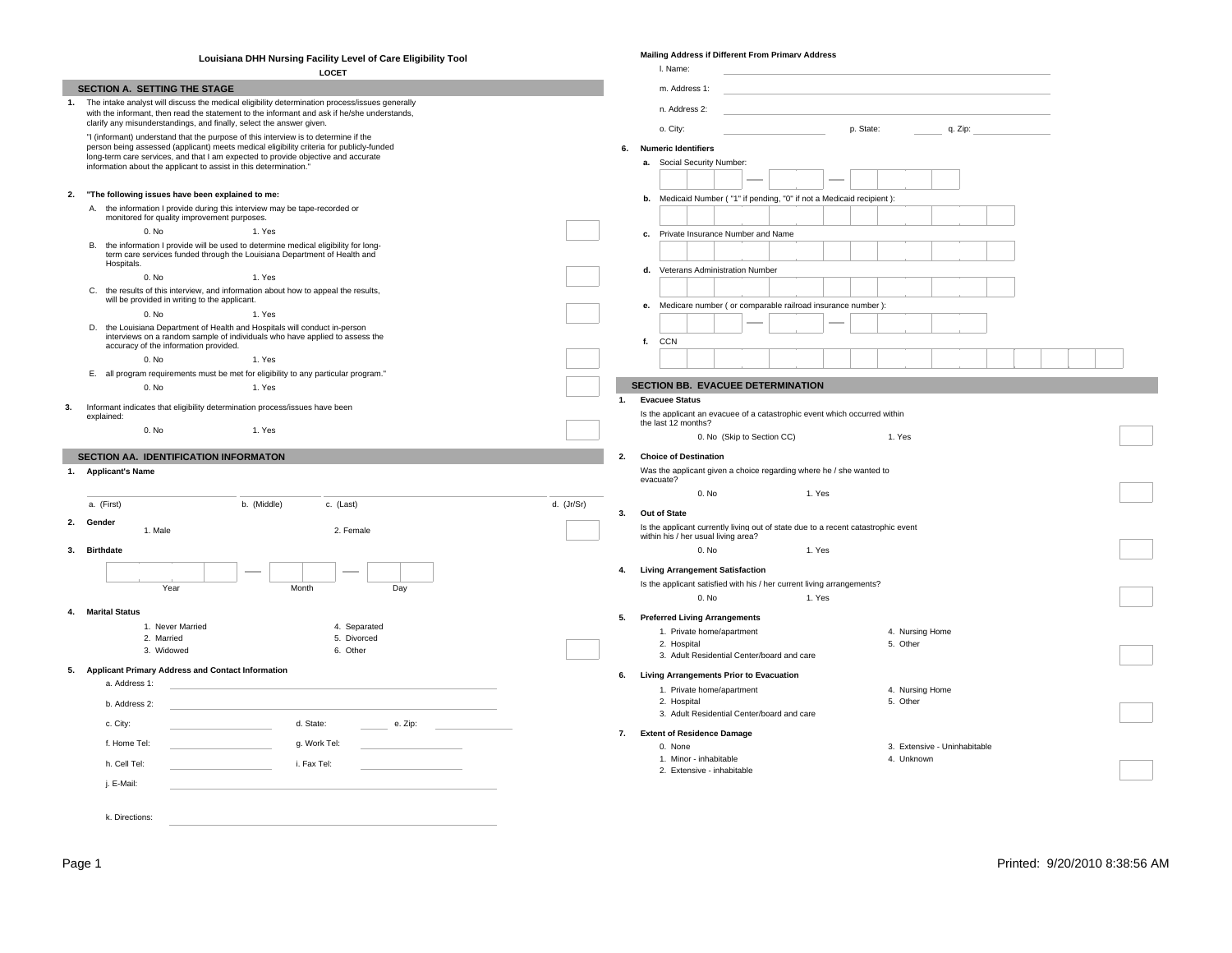|    | Louisiana DHH Nursing Facility Level of Care Eligibility Tool                                                                                                                   |            |    | <b>Mailing Address if Different From Primarv Address</b>                                                                 |  |
|----|---------------------------------------------------------------------------------------------------------------------------------------------------------------------------------|------------|----|--------------------------------------------------------------------------------------------------------------------------|--|
|    | <b>LOCET</b>                                                                                                                                                                    |            |    | I. Name:                                                                                                                 |  |
|    | SECTION A. SETTING THE STAGE                                                                                                                                                    |            |    | m. Address 1:                                                                                                            |  |
|    | 1. The intake analyst will discuss the medical eligibility determination process/issues generally                                                                               |            |    |                                                                                                                          |  |
|    | with the informant, then read the statement to the informant and ask if he/she understands,                                                                                     |            |    | n. Address 2:                                                                                                            |  |
|    | clarify any misunderstandings, and finally, select the answer given.                                                                                                            |            |    | o. City:<br>p. State:<br>q. Zip:                                                                                         |  |
|    | "I (informant) understand that the purpose of this interview is to determine if the<br>person being assessed (applicant) meets medical eligibility criteria for publicly-funded |            |    | 6. Numeric Identifiers                                                                                                   |  |
|    | long-term care services, and that I am expected to provide objective and accurate                                                                                               |            |    |                                                                                                                          |  |
|    | information about the applicant to assist in this determination."                                                                                                               |            |    | a. Social Security Number:                                                                                               |  |
|    |                                                                                                                                                                                 |            |    |                                                                                                                          |  |
| 2. | "The following issues have been explained to me:                                                                                                                                |            |    | b. Medicaid Number ("1" if pending, "0" if not a Medicaid recipient):                                                    |  |
|    | A. the information I provide during this interview may be tape-recorded or                                                                                                      |            |    |                                                                                                                          |  |
|    | monitored for quality improvement purposes.                                                                                                                                     |            |    |                                                                                                                          |  |
|    | 0. No<br>1. Yes                                                                                                                                                                 |            |    | c. Private Insurance Number and Name                                                                                     |  |
|    | B. the information I provide will be used to determine medical eligibility for long-<br>term care services funded through the Louisiana Department of Health and                |            |    |                                                                                                                          |  |
|    | Hospitals.                                                                                                                                                                      |            |    | Veterans Administration Number<br>d.                                                                                     |  |
|    | 1. Yes<br>0. No                                                                                                                                                                 |            |    |                                                                                                                          |  |
|    | C. the results of this interview, and information about how to appeal the results,                                                                                              |            |    |                                                                                                                          |  |
|    | will be provided in writing to the applicant.                                                                                                                                   |            |    | e. Medicare number (or comparable railroad insurance number):                                                            |  |
|    | 0. No<br>1. Yes                                                                                                                                                                 |            |    |                                                                                                                          |  |
|    | D. the Louisiana Department of Health and Hospitals will conduct in-person<br>interviews on a random sample of individuals who have applied to assess the                       |            |    |                                                                                                                          |  |
|    | accuracy of the information provided.                                                                                                                                           |            |    | f. CCN                                                                                                                   |  |
|    | 0. No<br>1. Yes                                                                                                                                                                 |            |    |                                                                                                                          |  |
|    | E. all program requirements must be met for eligibility to any particular program."                                                                                             |            |    |                                                                                                                          |  |
|    | 0. No<br>1. Yes                                                                                                                                                                 |            |    | SECTION BB. EVACUEE DETERMINATION                                                                                        |  |
| 3. | Informant indicates that eligibility determination process/issues have been                                                                                                     |            | 1. | <b>Evacuee Status</b>                                                                                                    |  |
|    | explained:                                                                                                                                                                      |            |    | Is the applicant an evacuee of a catastrophic event which occurred within<br>the last 12 months?                         |  |
|    | 0. No<br>1. Yes                                                                                                                                                                 |            |    | 0. No (Skip to Section CC)<br>1. Yes                                                                                     |  |
|    |                                                                                                                                                                                 |            |    |                                                                                                                          |  |
|    | SECTION AA. IDENTIFICATION INFORMATON                                                                                                                                           |            | 2. | <b>Choice of Destination</b>                                                                                             |  |
|    | 1. Applicant's Name                                                                                                                                                             |            |    | Was the applicant given a choice regarding where he / she wanted to<br>evacuate?                                         |  |
|    |                                                                                                                                                                                 |            |    | 0. No<br>1. Yes                                                                                                          |  |
|    | a. (First)<br>b. (Middle)<br>c. (Last)                                                                                                                                          | d. (Jr/Sr) |    |                                                                                                                          |  |
|    |                                                                                                                                                                                 |            | 3. | Out of State                                                                                                             |  |
|    | 2. Gender<br>1. Male<br>2. Female                                                                                                                                               |            |    | Is the applicant currently living out of state due to a recent catastrophic event<br>within his / her usual living area? |  |
|    |                                                                                                                                                                                 |            |    | 0. No<br>1. Yes                                                                                                          |  |
|    | 3. Birthdate                                                                                                                                                                    |            |    |                                                                                                                          |  |
|    |                                                                                                                                                                                 |            |    | 4. Living Arrangement Satisfaction                                                                                       |  |
|    | Year<br>Month<br>Day                                                                                                                                                            |            |    | Is the applicant satisfied with his / her current living arrangements?                                                   |  |
|    |                                                                                                                                                                                 |            |    | 0. No<br>1. Yes                                                                                                          |  |
|    | 4. Marital Status                                                                                                                                                               |            |    | 5. Preferred Living Arrangements                                                                                         |  |
|    | 1. Never Married<br>4. Separated                                                                                                                                                |            |    | 1. Private home/apartment<br>4. Nursing Home                                                                             |  |
|    | 2. Married<br>5. Divorced                                                                                                                                                       |            |    | 2. Hospital<br>5. Other                                                                                                  |  |
|    | 3. Widowed<br>6. Other                                                                                                                                                          |            |    | 3. Adult Residential Center/board and care                                                                               |  |
|    | 5. Applicant Primary Address and Contact Information                                                                                                                            |            |    | 6. Living Arrangements Prior to Evacuation                                                                               |  |
|    | a. Address 1:                                                                                                                                                                   |            |    |                                                                                                                          |  |
|    |                                                                                                                                                                                 |            |    | 1. Private home/apartment<br>4. Nursing Home<br>2. Hospital<br>5. Other                                                  |  |
|    | b. Address 2:                                                                                                                                                                   |            |    | 3. Adult Residential Center/board and care                                                                               |  |
|    | d. State:<br>c. City:<br>e. Zip:                                                                                                                                                |            |    |                                                                                                                          |  |
|    |                                                                                                                                                                                 |            |    | 7. Extent of Residence Damage                                                                                            |  |
|    |                                                                                                                                                                                 |            |    | 0. None<br>3. Extensive - Uninhabitable                                                                                  |  |
|    | g. Work Tel:<br>f. Home Tel:                                                                                                                                                    |            |    |                                                                                                                          |  |
|    | i. Fax Tel:<br>h. Cell Tel:                                                                                                                                                     |            |    | 4. Unknown<br>1. Minor - inhabitable                                                                                     |  |
|    |                                                                                                                                                                                 |            |    | 2. Extensive - inhabitable                                                                                               |  |
|    | j. E-Mail:                                                                                                                                                                      |            |    |                                                                                                                          |  |
|    | k. Directions:                                                                                                                                                                  |            |    |                                                                                                                          |  |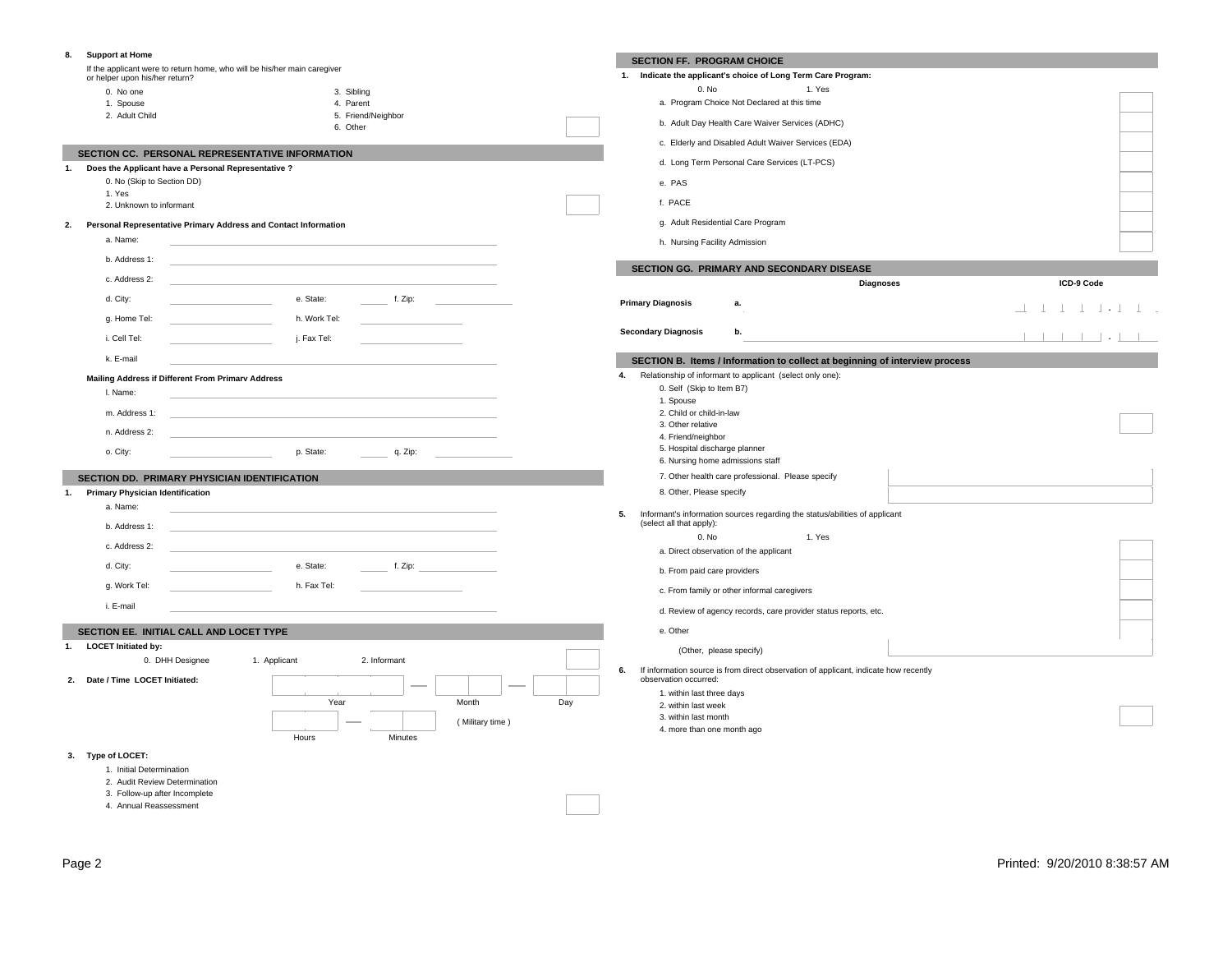#### **8. Support at Home**

If the applicant were to return home, who will be his/her main caregiver or helper upon his/her return?

| 0. No one      | 3. Sibling         |
|----------------|--------------------|
| 1. Spouse      | 4. Parent          |
| 2. Adult Child | 5. Friend/Neighbor |

|  | .             |
|--|---------------|
|  | 6. Other<br>. |

 **SECTION CC. PERSONAL REPRESENTATIVE INFORMATION**

| Does the Applicant have a Personal Representative ? |
|-----------------------------------------------------|
| 0 No (Skin to Section DD)                           |

| U. NO (SKID TO SECTION DD) |  |
|----------------------------|--|
| 1. Yes                     |  |
| 2. Unknown to informant    |  |

#### **2. Personal Representative Primary Address and Contact Information**

| a. Name:      |              |         |  |
|---------------|--------------|---------|--|
| b. Address 1: |              |         |  |
| c. Address 2: |              |         |  |
| d. City:      | e. State:    | f. Zip: |  |
| g. Home Tel:  | h. Work Tel: |         |  |
| i. Cell Tel:  | j. Fax Tel:  |         |  |
| k. E-mail     |              |         |  |

### **Mailing Address if Different From Primary Address**

| I. Name:      |           |         |  |
|---------------|-----------|---------|--|
| m. Address 1: |           |         |  |
| n. Address 2: |           |         |  |
| o. City:      | p. State: | q. Zip: |  |

## **SECTION DD. PRIMARY PHYSICIAN IDENTIFICATION**

| a. Name:      |             |                                         |
|---------------|-------------|-----------------------------------------|
| b. Address 1: |             |                                         |
| c. Address 2: |             |                                         |
| d. City:      | e. State:   | f. Zip: $\qquad \qquad \qquad$          |
| g. Work Tel:  | h. Fax Tel: |                                         |
| i. E-mail     |             |                                         |
|               |             | <b>Primary Physician Identification</b> |

Hours Minutes

## **SECTION EE. INITIAL CALL AND LOCET TYPE**

| 1. | <b>LOCET Initiated by:</b> |
|----|----------------------------|
|    | 0 DHH Designe              |

**2. Date / Time LOCET Initiated:**

# 0. DHH Designee 1. Applicant 2. Informant Year Month Day ( Military time )

## **SECTION FF. PROGRAM CHOICE**

| 1. | Indicate the applicant's choice of Long Term Care Program: |        |  |
|----|------------------------------------------------------------|--------|--|
|    | 0. No                                                      | 1. Yes |  |
|    | a. Program Choice Not Declared at this time                |        |  |
|    | b. Adult Day Health Care Waiver Services (ADHC)            |        |  |
|    | c. Elderly and Disabled Adult Waiver Services (EDA)        |        |  |
|    | d. Long Term Personal Care Services (LT-PCS)               |        |  |
|    | e. PAS                                                     |        |  |
|    | f. PACE                                                    |        |  |
|    | g. Adult Residential Care Program                          |        |  |
|    | h. Nursing Facility Admission                              |        |  |

## **SECTION GG. PRIMARY AND SECONDARY DISEASE**

|                            |    | <b>Diagnoses</b> |  |  | ICD-9 Code |  |                        |  |  |
|----------------------------|----|------------------|--|--|------------|--|------------------------|--|--|
| <b>Primary Diagnosis</b>   | а. |                  |  |  |            |  | <u>. 1 1 1 1 1 1 1</u> |  |  |
| <b>Secondary Diagnosis</b> | b. |                  |  |  |            |  | 1111111                |  |  |

## **SECTION B. Items / Information to collect at beginning of interview process**

| 4. | Relationship of informant to applicant (select only one): |
|----|-----------------------------------------------------------|
|    | 0. Self (Skip to Item B7)                                 |
|    | 1. Spouse                                                 |
|    | 2. Child or child-in-law                                  |
|    | 3. Other relative                                         |
|    | 4. Friend/neighbor                                        |
|    | 5. Hospital discharge planner                             |

## 5. Hospital discharge planner 6. Nursing home admissions staff

7. Other health care professional. Please specify 8. Other, Please specify

#### **5.** Informant's information sources regarding the status/abilities of applicant (select all that apply):

| 0. No                                       | 1. Yes                                                                          |
|---------------------------------------------|---------------------------------------------------------------------------------|
| a. Direct observation of the applicant      |                                                                                 |
| b. From paid care providers                 |                                                                                 |
| c. From family or other informal caregivers |                                                                                 |
|                                             | the contract of the contract of the contract of the contract of the contract of |

## d. Review of agency records, care provider status reports, etc.

e. Other

## (Other, please specify)

**6.** If information source is from direct observation of applicant, indicate how recently

- observation occurred: 1. within last three days
	- 2. within last week
	- 3. within last month
	- 4. more than one month ago

## **3. Type of LOCET:**

- 1. Initial Determination
- 2. Audit Review Determination
- 3. Follow-up after Incomplete
- 4. Annual Reassessment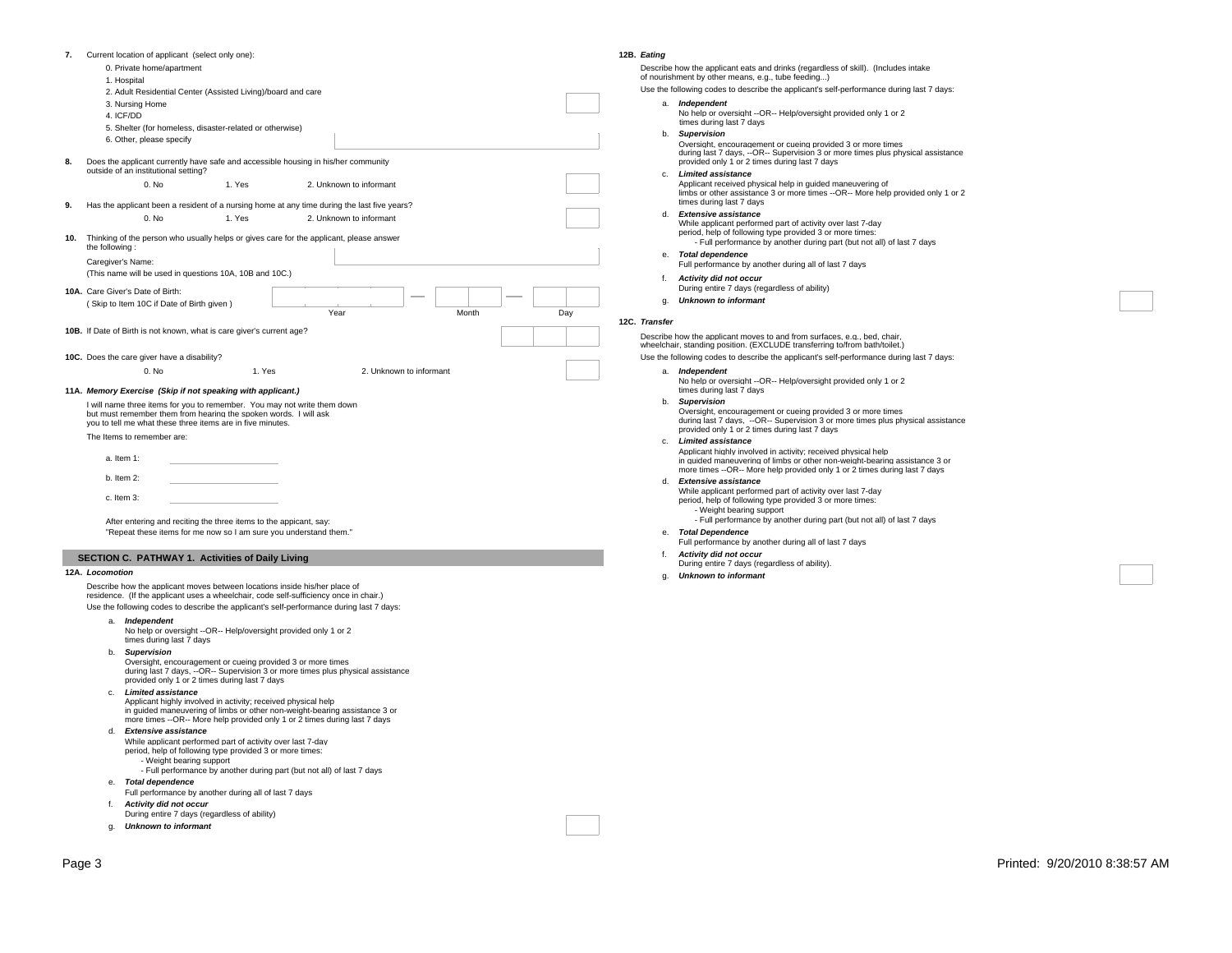|     | Current location of applicant (select only one):                                                                                                                                                           |        |                         |       |     |  |  |  |  |  |  |  |  |
|-----|------------------------------------------------------------------------------------------------------------------------------------------------------------------------------------------------------------|--------|-------------------------|-------|-----|--|--|--|--|--|--|--|--|
|     | 0. Private home/apartment                                                                                                                                                                                  |        |                         |       |     |  |  |  |  |  |  |  |  |
|     | 1. Hospital                                                                                                                                                                                                |        |                         |       |     |  |  |  |  |  |  |  |  |
|     | 2. Adult Residential Center (Assisted Living)/board and care                                                                                                                                               |        |                         |       |     |  |  |  |  |  |  |  |  |
|     | 3. Nursing Home                                                                                                                                                                                            |        |                         |       |     |  |  |  |  |  |  |  |  |
|     | 4. ICF/DD                                                                                                                                                                                                  |        |                         |       |     |  |  |  |  |  |  |  |  |
|     | 5. Shelter (for homeless, disaster-related or otherwise)                                                                                                                                                   |        |                         |       |     |  |  |  |  |  |  |  |  |
|     | 6. Other, please specify                                                                                                                                                                                   |        |                         |       |     |  |  |  |  |  |  |  |  |
| 8.  | Does the applicant currently have safe and accessible housing in his/her community<br>outside of an institutional setting?                                                                                 |        |                         |       |     |  |  |  |  |  |  |  |  |
|     | 0. No                                                                                                                                                                                                      | 1. Yes | 2. Unknown to informant |       |     |  |  |  |  |  |  |  |  |
| 9.  | Has the applicant been a resident of a nursing home at any time during the last five years?                                                                                                                |        |                         |       |     |  |  |  |  |  |  |  |  |
|     | 0. No                                                                                                                                                                                                      | 1. Yes | 2. Unknown to informant |       |     |  |  |  |  |  |  |  |  |
| 10. | Thinking of the person who usually helps or gives care for the applicant, please answer<br>the following:                                                                                                  |        |                         |       |     |  |  |  |  |  |  |  |  |
|     | Caregiver's Name:                                                                                                                                                                                          |        |                         |       |     |  |  |  |  |  |  |  |  |
|     | (This name will be used in questions 10A, 10B and 10C.)                                                                                                                                                    |        |                         |       |     |  |  |  |  |  |  |  |  |
|     | 10A. Care Giver's Date of Birth:                                                                                                                                                                           |        |                         |       |     |  |  |  |  |  |  |  |  |
|     | (Skip to Item 10C if Date of Birth given)                                                                                                                                                                  |        |                         |       |     |  |  |  |  |  |  |  |  |
|     |                                                                                                                                                                                                            |        | Year                    | Month | Day |  |  |  |  |  |  |  |  |
|     | 10B. If Date of Birth is not known, what is care giver's current age?                                                                                                                                      |        |                         |       |     |  |  |  |  |  |  |  |  |
|     |                                                                                                                                                                                                            |        |                         |       |     |  |  |  |  |  |  |  |  |
|     | 10C. Does the care giver have a disability?                                                                                                                                                                |        |                         |       |     |  |  |  |  |  |  |  |  |
|     | 0. No                                                                                                                                                                                                      | 1. Yes | 2. Unknown to informant |       |     |  |  |  |  |  |  |  |  |
|     |                                                                                                                                                                                                            |        |                         |       |     |  |  |  |  |  |  |  |  |
|     | 11A. Memory Exercise (Skip if not speaking with applicant.)                                                                                                                                                |        |                         |       |     |  |  |  |  |  |  |  |  |
|     | I will name three items for you to remember. You may not write them down<br>but must remember them from hearing the spoken words. I will ask<br>you to tell me what these three items are in five minutes. |        |                         |       |     |  |  |  |  |  |  |  |  |
|     | The Items to remember are:                                                                                                                                                                                 |        |                         |       |     |  |  |  |  |  |  |  |  |
|     | $a.$ Item 1:                                                                                                                                                                                               |        |                         |       |     |  |  |  |  |  |  |  |  |
|     | $b.$ Item 2:                                                                                                                                                                                               |        |                         |       |     |  |  |  |  |  |  |  |  |
|     | c. Item 3:                                                                                                                                                                                                 |        |                         |       |     |  |  |  |  |  |  |  |  |
|     | After entering and reciting the three items to the appicant, say:                                                                                                                                          |        |                         |       |     |  |  |  |  |  |  |  |  |

#### **12A.** *Locomotion*

Describe how the applicant moves between locations inside his/her place of residence. (If the applicant uses a wheelchair, code self-sufficiency once in chair.) Use the following codes to describe the applicant's self-performance during last 7 days:

- a. *Independent* No help or oversight --OR-- Help/oversight provided only 1 or 2
- times during last 7 days
- b. *Supervision*

Oversight, encouragement or cueing provided 3 or more times during last 7 days, --OR-- Supervision 3 or more times plus physical assistance provided only 1 or 2 times during last 7 days

c. *Limited assistance*

Applicant highly involved in activity; received physical help in guided maneuvering of limbs or other non-weight-bearing assistance 3 or more times --OR-- More help provided only 1 or 2 times during last 7 days

d. *Extensive assistance*

While applicant performed part of activity over last 7-day period, help of following type provided 3 or more times:

- Weight bearing support

- Full performance by another during part (but not all) of last 7 days

- e. *Total dependence*
- Full performance by another during all of last 7 days
- f. *Activity did not occur*
- During entire 7 days (regardless of ability)
- g. *Unknown to informant*

#### **12B.** *Eating*

Describe how the applicant eats and drinks (regardless of skill). (Includes intake of nourishment by other means, e.g., tube feeding...)

Use the following codes to describe the applicant's self-performance during last 7 days: a. *Independent*

- No help or oversight --OR-- Help/oversight provided only 1 or 2
- times during last 7 days
- b. *Supervision* Oversight, encouragement or cueing provided 3 or more times during last 7 days, --OR-- Supervision 3 or more times plus physical assistance provided only 1 or 2 times during last 7 days
- c. *Limited assistance* Applicant received physical help in guided maneuvering of limbs or other assistance 3 or more times --OR-- More help provided only 1 or 2
	- times during last 7 days
- d. *Extensive assistance* While applicant performed part of activity over last 7-day period, help of following type provided 3 or more times: - Full performance by another during part (but not all) of last 7 days
- e. *Total dependence* Full performance by another during all of last 7 days
- f. *Activity did not occur*  During entire 7 days (regardless of ability)
- g. *Unknown to informant*

#### **12C.** *Transfer*

Describe how the applicant moves to and from surfaces, e.g., bed, chair wheelchair, standing position. (EXCLUDE transferring to/from bath/toilet.)

- Use the following codes to describe the applicant's self-performance during last 7 days: a. *Independent*
	- No help or oversight --OR-- Help/oversight provided only 1 or 2 times during last 7 days

#### b. *Supervision*

Oversight, encouragement or cueing provided 3 or more times during last 7 days, --OR-- Supervision 3 or more times plus physical assistance provided only 1 or 2 times during last 7 days

c. *Limited assistance* Applicant highly involved in activity; received physical help in guided maneuvering of limbs or other non-weight-bearing assistance 3 or more times --OR-- More help provided only 1 or 2 times during last 7 days

- d. *Extensive assistance*
	- While applicant performed part of activity over last 7-day period, help of following type provided 3 or more times:
	- Weight bearing support - Full performance by another during part (but not all) of last 7 days
- e. *Total Dependence*
- Full performance by another during all of last 7 days
- f. *Activity did not occur*
- During entire 7 days (regardless of ability).
- g. *Unknown to informant*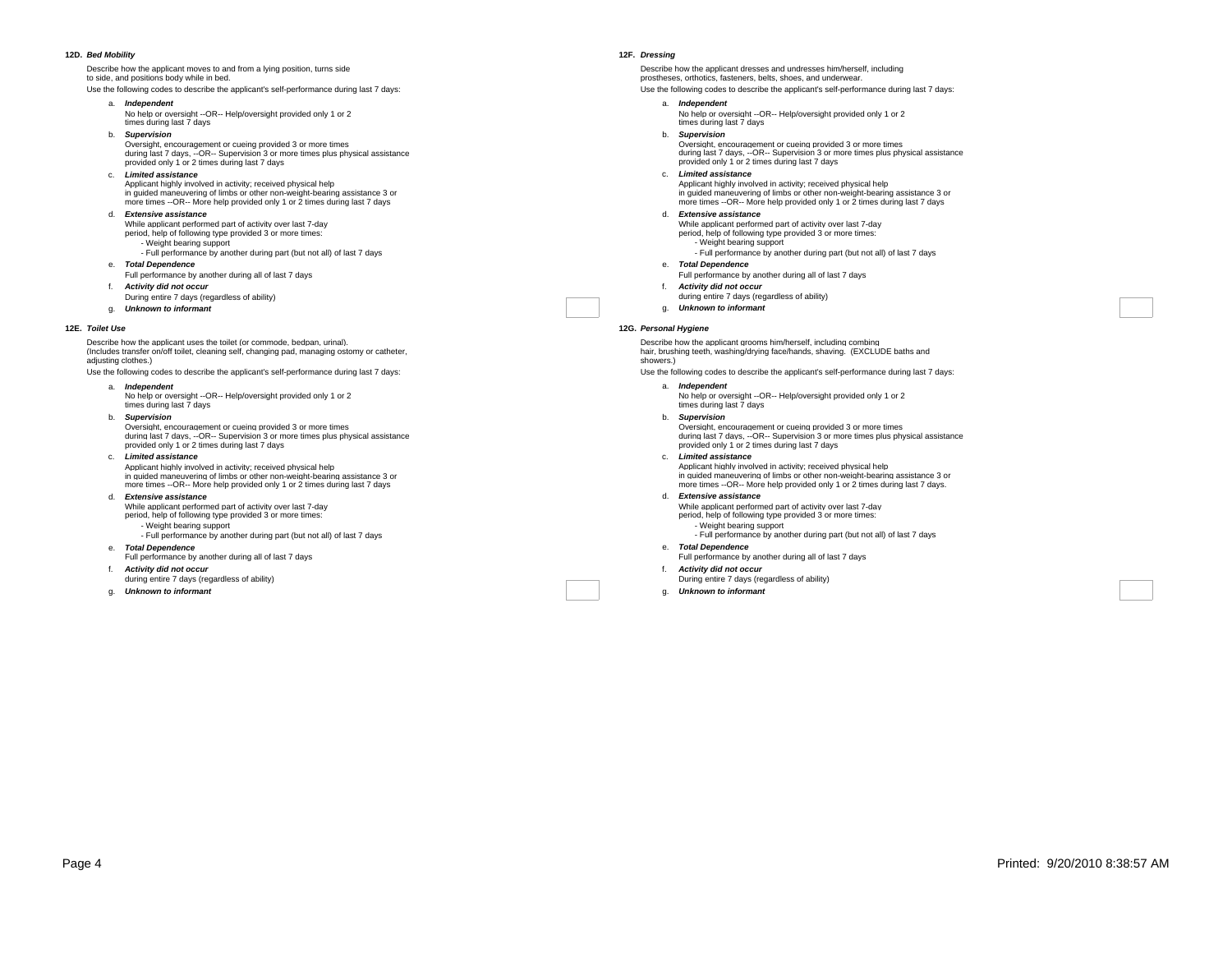#### **12D.** *Bed Mobility*

Describe how the applicant moves to and from a lying position, turns side to side, and positions body while in bed.

Use the following codes to describe the applicant's self-performance during last 7 days:

- a. *Independent*
- 
- b. *Supervision*
- Oversight, encouragement or cueing provided 3 or more times during last 7 days, --OR-- Supervision 3 or more times plus physical assistance provided only 1 or 2 times during last 7 days
- c. *Limited assistance*
- Applicant highly involved in activity; received physical help in guided maneuvering of limbs or other non-weight-bearing assistance 3 or more times --OR-- More help provided only 1 or 2 times during last 7 days
- d. *Extensive assistance*
- While applicant performed part of activity over last 7-day period, help of following type provided 3 or more times:
- Weight bearing support
	- Full performance by another during part (but not all) of last 7 days
- e. *Total Dependence*
- Full performance by another during all of last 7 days f. *Activity did not occur*
- 
- During entire 7 days (regardless of ability) g. *Unknown to informant*
- 

#### **12E.** *Toilet Use*

Describe how the applicant uses the toilet (or commode, bedpan, urinal). (Includes transfer on/off toilet, cleaning self, changing pad, managing ostomy or catheter, adjusting clothes.)

Use the following codes to describe the applicant's self-performance during last 7 days:

a. *Independent*

No help or oversight --OR-- Help/oversight provided only 1 or 2 times during last 7 days

b. *Supervision*

Oversight, encouragement or cueing provided 3 or more times during last 7 days, --OR-- Supervision 3 or more times plus physical assistance provided only 1 or 2 times during last 7 days

- c. *Limited assistance* Applicant highly involved in activity; received physical help in guided maneuvering of limbs or other non-weight-bearing assistance 3 or
- more times --OR-- More help provided only 1 or 2 times during last 7 days d. *Extensive assistance*
- While applicant performed part of activity over last 7-day period, help of following type provided 3 or more times:
	- Weight bearing support
	- Full performance by another during part (but not all) of last 7 days
- e. *Total Dependence*
- Full performance by another during all of last 7 days
- f. *Activity did not occur*
- during entire 7 days (regardless of ability)
- g. *Unknown to informant*

#### **12F.** *Dressing*

Describe how the applicant dresses and undresses him/herself, including prostheses, orthotics, fasteners, belts, shoes, and underwear.

- Use the following codes to describe the applicant's self-performance during last 7 days:
	- a. *Independent* No help or oversight --OR-- Help/oversight provided only 1 or 2
	- times during last 7 days b. *Supervision*
		- Oversight, encouragement or cueing provided 3 or more times during last 7 days, --OR-- Supervision 3 or more times plus physical assistance provided only 1 or 2 times during last 7 days
	- c. *Limited assistance*
		- Applicant highly involved in activity; received physical help in guided maneuvering of limbs or other non-weight-bearing assistance 3 or more times --OR-- More help provided only 1 or 2 times during last 7 days
	- d. *Extensive assistance*
		- While applicant performed part of activity over last 7-day period, help of following type provided 3 or more times: - Weight bearing support
			- Full performance by another during part (but not all) of last 7 days
	- e. *Total Dependence*
	- Full performance by another during all of last 7 days f. *Activity did not occur*
	- during entire 7 days (regardless of ability)
	- g. *Unknown to informant*

#### **12G.** *Personal Hygiene*

Describe how the applicant grooms him/herself, including combing hair, brushing teeth, washing/drying face/hands, shaving. (EXCLUDE baths and showers.)

Use the following codes to describe the applicant's self-performance during last 7 days:

- a. *Independent* No help or oversight --OR-- Help/oversight provided only 1 or 2 times during last 7 days
- b. *Supervision* Oversight, encouragement or cueing provided 3 or more times during last 7 days, --OR-- Supervision 3 or more times plus physical assistance provided only 1 or 2 times during last 7 days
- c. *Limited assistance* Applicant highly involved in activity; received physical help in guided maneuvering of limbs or other non-weight-bearing assistance 3 or more times --OR-- More help provided only 1 or 2 times during last 7 days.
- d. *Extensive assistance*
- While applicant performed part of activity over last 7-day period, help of following type provided 3 or more times: - Weight bearing support
	- Full performance by another during part (but not all) of last 7 days
- e. *Total Dependence*
- Full performance by another during all of last 7 days f. *Activity did not occur*
- During entire 7 days (regardless of ability)
- g. *Unknown to informant*

No help or oversight --OR-- Help/oversight provided only 1 or 2 times during last 7 days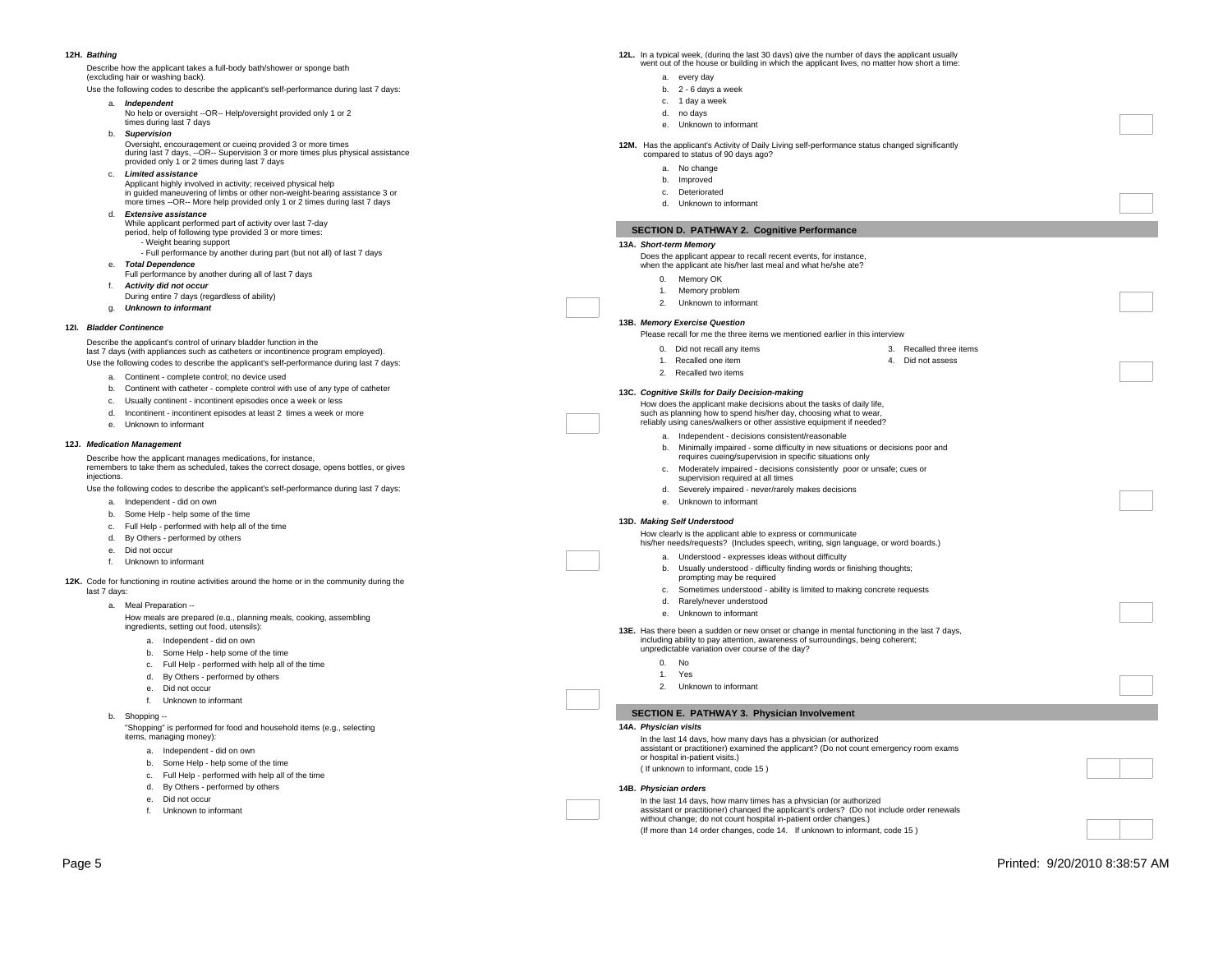#### **12H.** *Bathing*

Describe how the applicant takes a full-body bath/shower or sponge bath (excluding hair or washing back).

Use the following codes to describe the applicant's self-performance during last 7 days:

- a. *Independent*
- maependent<br>No help or oversight --OR-- Help/oversight provided only 1 or 2
- times during last 7 days b. *Supervision*
- 
- Oversight, encouragement or cueing provided 3 or more times during last 7 days, --OR-- Supervision 3 or more times plus physical assistance provided only 1 or 2 times during last 7 days
- c. *Limited assistance*
- Applicant highly involved in activity; received physical help in guided maneuvering of limbs or other non-weight-bearing assistance 3 or more times --OR-- More help provided only 1 or 2 times during last 7 days
- d. *Extensive assistance*
- While applicant performed part of activity over last 7-day
- period, help of following type provided 3 or more times: - Weight bearing support
- Full performance by another during part (but not all) of last 7 days e. *Total Dependence*
- Full performance by another during all of last 7 days
- f. *Activity did not occur*  During entire 7 days (regardless of ability)
- g. *Unknown to informant*
- 

#### **12I.** *Bladder Continence*

Describe the applicant's control of urinary bladder function in the last 7 days (with appliances such as catheters or incontinence program employed). Use the following codes to describe the applicant's self-performance during last 7 days:

- a. Continent complete control; no device used
- b. Continent with catheter complete control with use of any type of catheter
- c. Usually continent incontinent episodes once a week or less
- d. Incontinent incontinent episodes at least 2 times a week or more
- e. Unknown to informant

#### **12J.** *Medication Management*

Describe how the applicant manages medications, for instance, remembers to take them as scheduled, takes the correct dosage, opens bottles, or gives injections.

Use the following codes to describe the applicant's self-performance during last 7 days:

- a. Independent did on own
- b. Some Help help some of the time
- c. Full Help performed with help all of the time
- d. By Others performed by others
- e. Did not occur
- f. Unknown to informant

**12K.** Code for functioning in routine activities around the home or in the community during the last 7 days:

a. Meal Preparation --

How meals are prepared (e.g., planning meals, cooking, assembling ingredients, setting out food, utensils):

- a. Independent did on own
- b. Some Help help some of the time
- c. Full Help performed with help all of the time
- d. By Others performed by others
- e. Did not occur
- f. Unknown to informant
- b. Shopping --

"Shopping" is performed for food and household items (e.g., selecting items, managing money):

- a. Independent did on own
- b. Some Help help some of the time
- c. Full Help performed with help all of the time
- d. By Others performed by others
- e. Did not occur
- f. Unknown to informant
- **12L.** In a typical week, (during the last 30 days) give the number of days the applicant usually went out of the house or building in which the applicant lives, no matter how short a time:
	- a. every day
	- b. 2 6 days a week
	- c. 1 day a week
	- d. no days
	- e. Unknown to informant

#### **12M.** Has the applicant's Activity of Daily Living self-performance status changed significantly compared to status of 90 days ago?

- a. No change
- b. Improved
- c. Deteriorated
- d. Unknown to informant

## **SECTION D. PATHWAY 2. Cognitive Performance**

**13A.** *Short-term Memory*

Does the applicant appear to recall recent events, for instance, when the applicant ate his/her last meal and what he/she ate?

- 
- 0. Memory OK
- 1. Memory problem 2. Unknown to informant
- 

### **13B.** *Memory Exercise Question*

Please recall for me the three items we mentioned earlier in this interview

- 0. Did not recall any items
- 4. Did not assess

3. Recalled three items

## 2. Recalled two items **13C.** *Cognitive Skills for Daily Decision-making*

1. Recalled one item

How does the applicant make decisions about the tasks of daily life, such as planning how to spend his/her day, choosing what to wear, reliably using canes/walkers or other assistive equipment if needed?

- a. Independent decisions consistent/reasonable
- b. Minimally impaired some difficulty in new situations or decisions poor and requires cueing/supervision in specific situations only
- c. Moderately impaired decisions consistently poor or unsafe; cues or
- supervision required at all times d. Severely impaired - never/rarely makes decisions
- e. Unknown to informant

#### **13D.** *Making Self Understood*

How clearly is the applicant able to express or communicate his/her needs/requests? (Includes speech, writing, sign language, or word boards.)

- a. Understood expresses ideas without difficulty
- b. Usually understood difficulty finding words or finishing thoughts;
- prompting may be required
- c. Sometimes understood ability is limited to making concrete requests
- d. Rarely/never understood
- e. Unknown to informant

**13E.** Has there been a sudden or new onset or change in mental functioning in the last 7 days, including ability to pay attention, awareness of surroundings, being coherent; unpredictable variation over course of the day?

- 0. No
- 1. Yes

## 2. Unknown to informant

- **SECTION E. PATHWAY 3. Physician Involvement**
- **14A.** *Physician visits*
	- In the last 14 days, how many days has a physician (or authorized assistant or practitioner) examined the applicant? (Do not count emergency room exams or hospital in-patient visits.)
	- ( If unknown to informant, code 15 )

#### **14B.** *Physician orders*

- In the last 14 days, how many times has a physician (or authorized assistant or practitioner) changed the applicant's orders? (Do not include order renewals without change; do not count hospital in-patient order changes.) (If more than 14 order changes, code 14. If unknown to informant, code 15 )
- Page 5 Printed: 9/20/2010 8:38:57 AM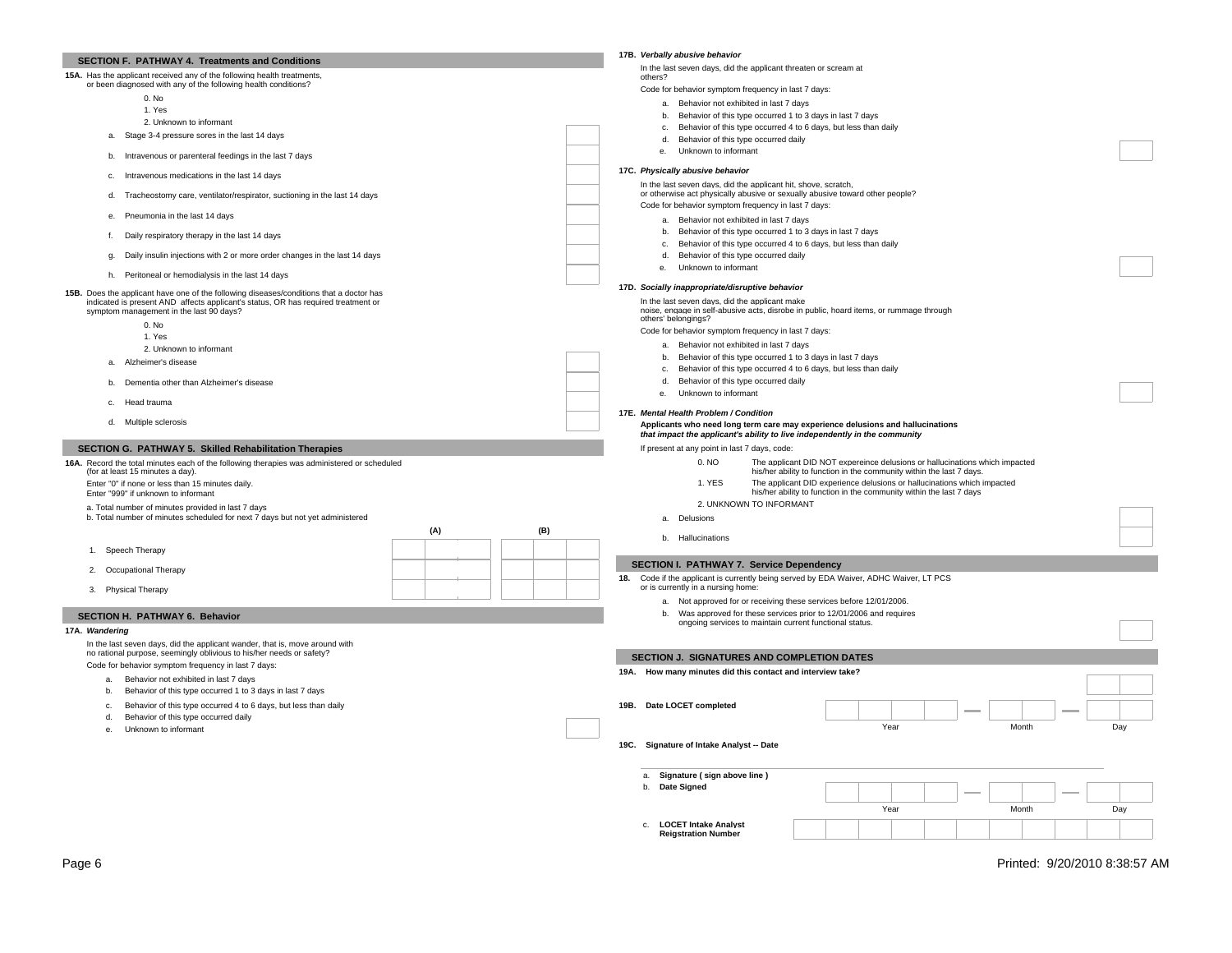| SECTION F. PATHWAY 4. Treatments and Conditions                                                                                                                              | 17B. Verbally abusive behavior                                                                                                                               |
|------------------------------------------------------------------------------------------------------------------------------------------------------------------------------|--------------------------------------------------------------------------------------------------------------------------------------------------------------|
| 15A. Has the applicant received any of the following health treatments,                                                                                                      | In the last seven days, did the applicant threaten or scream at<br>others?                                                                                   |
| or been diagnosed with any of the following health conditions?                                                                                                               | Code for behavior symptom frequency in last 7 days:                                                                                                          |
| 0. No                                                                                                                                                                        | a. Behavior not exhibited in last 7 days                                                                                                                     |
| 1. Yes                                                                                                                                                                       | b. Behavior of this type occurred 1 to 3 days in last 7 days                                                                                                 |
| 2. Unknown to informant                                                                                                                                                      | c. Behavior of this type occurred 4 to 6 days, but less than daily                                                                                           |
| a. Stage 3-4 pressure sores in the last 14 days                                                                                                                              | d.<br>Behavior of this type occurred daily                                                                                                                   |
|                                                                                                                                                                              | Unknown to informant<br>$\mathbf{e}$                                                                                                                         |
| Intravenous or parenteral feedings in the last 7 days<br>b.                                                                                                                  |                                                                                                                                                              |
| Intravenous medications in the last 14 days<br>c.                                                                                                                            | 17C. Physically abusive behavior                                                                                                                             |
| Tracheostomy care, ventilator/respirator, suctioning in the last 14 days<br>d.                                                                                               | In the last seven days, did the applicant hit, shove, scratch,<br>or otherwise act physically abusive or sexually abusive toward other people?               |
|                                                                                                                                                                              | Code for behavior symptom frequency in last 7 days:                                                                                                          |
| Pneumonia in the last 14 days<br>e.                                                                                                                                          | a. Behavior not exhibited in last 7 days                                                                                                                     |
| Daily respiratory therapy in the last 14 days<br>f.                                                                                                                          | b. Behavior of this type occurred 1 to 3 days in last 7 days                                                                                                 |
|                                                                                                                                                                              | c. Behavior of this type occurred 4 to 6 days, but less than daily                                                                                           |
| Daily insulin injections with 2 or more order changes in the last 14 days<br>g.                                                                                              | d. Behavior of this type occurred daily                                                                                                                      |
| h. Peritoneal or hemodialysis in the last 14 days                                                                                                                            | Unknown to informant<br>е.                                                                                                                                   |
|                                                                                                                                                                              | 17D. Socially inappropriate/disruptive behavior                                                                                                              |
| 15B. Does the applicant have one of the following diseases/conditions that a doctor has<br>indicated is present AND affects applicant's status, OR has required treatment or | In the last seven days, did the applicant make                                                                                                               |
| symptom management in the last 90 days?                                                                                                                                      | noise, engage in self-abusive acts, disrobe in public, hoard items, or rummage through                                                                       |
| 0. No                                                                                                                                                                        | others' belongings?                                                                                                                                          |
| 1. Yes                                                                                                                                                                       | Code for behavior symptom frequency in last 7 days:                                                                                                          |
| 2. Unknown to informant                                                                                                                                                      | a. Behavior not exhibited in last 7 days                                                                                                                     |
| Alzheimer's disease<br>a.                                                                                                                                                    | b. Behavior of this type occurred 1 to 3 days in last 7 days<br>c. Behavior of this type occurred 4 to 6 days, but less than daily                           |
|                                                                                                                                                                              | Behavior of this type occurred daily<br>d.                                                                                                                   |
| Dementia other than Alzheimer's disease<br>b.                                                                                                                                | Unknown to informant<br>е.                                                                                                                                   |
| c. Head trauma                                                                                                                                                               |                                                                                                                                                              |
| d. Multiple sclerosis                                                                                                                                                        | 17E. Mental Health Problem / Condition                                                                                                                       |
|                                                                                                                                                                              | Applicants who need long term care may experience delusions and hallucinations<br>that impact the applicant's ability to live independently in the community |
| SECTION G. PATHWAY 5. Skilled Rehabilitation Therapies                                                                                                                       | If present at any point in last 7 days, code:                                                                                                                |
|                                                                                                                                                                              | The applicant DID NOT expereince delusions or hallucinations which impacted<br>0. NO                                                                         |
| 16A. Record the total minutes each of the following therapies was administered or scheduled<br>(for at least 15 minutes a day).                                              | his/her ability to function in the community within the last 7 days.                                                                                         |
| Enter "0" if none or less than 15 minutes daily.                                                                                                                             | 1. YES<br>The applicant DID experience delusions or hallucinations which impacted                                                                            |
|                                                                                                                                                                              |                                                                                                                                                              |
| Enter "999" if unknown to informant                                                                                                                                          | his/her ability to function in the community within the last 7 days                                                                                          |
| a. Total number of minutes provided in last 7 days                                                                                                                           | 2. UNKNOWN TO INFORMANT                                                                                                                                      |
| b. Total number of minutes scheduled for next 7 days but not yet administered                                                                                                | a. Delusions                                                                                                                                                 |
| (A)<br>(B)                                                                                                                                                                   | b. Hallucinations                                                                                                                                            |
| 1. Speech Therapy                                                                                                                                                            |                                                                                                                                                              |
|                                                                                                                                                                              | <b>SECTION I. PATHWAY 7. Service Dependency</b>                                                                                                              |
| 2. Occupational Therapy                                                                                                                                                      | 18.                                                                                                                                                          |
| 3. Physical Therapy                                                                                                                                                          | Code if the applicant is currently being served by EDA Waiver, ADHC Waiver, LT PCS<br>or is currently in a nursing home:                                     |
|                                                                                                                                                                              | a. Not approved for or receiving these services before 12/01/2006.                                                                                           |
| SECTION H. PATHWAY 6. Behavior                                                                                                                                               | b. Was approved for these services prior to 12/01/2006 and requires                                                                                          |
| 17A. Wandering                                                                                                                                                               | ongoing services to maintain current functional status.                                                                                                      |
| In the last seven days, did the applicant wander, that is, move around with                                                                                                  |                                                                                                                                                              |
| no rational purpose, seemingly oblivious to his/her needs or safety?                                                                                                         | SECTION J. SIGNATURES AND COMPLETION DATES                                                                                                                   |
| Code for behavior symptom frequency in last 7 days:                                                                                                                          | 19A. How many minutes did this contact and interview take?                                                                                                   |
| Behavior not exhibited in last 7 days<br>a.                                                                                                                                  |                                                                                                                                                              |
| Behavior of this type occurred 1 to 3 days in last 7 days<br>b.                                                                                                              |                                                                                                                                                              |
| Behavior of this type occurred 4 to 6 days, but less than daily<br>C <sub>1</sub>                                                                                            | 19B. Date LOCET completed                                                                                                                                    |
| Behavior of this type occurred daily<br>d.<br>е.                                                                                                                             | Year<br>Month<br>Day                                                                                                                                         |
| Unknown to informant                                                                                                                                                         |                                                                                                                                                              |
|                                                                                                                                                                              | 19C. Signature of Intake Analyst -- Date                                                                                                                     |
|                                                                                                                                                                              |                                                                                                                                                              |
|                                                                                                                                                                              | Signature (sign above line)<br>a.                                                                                                                            |
|                                                                                                                                                                              | Date Signed<br>b.                                                                                                                                            |
|                                                                                                                                                                              | Year<br>Day<br>Month                                                                                                                                         |
|                                                                                                                                                                              | <b>LOCET Intake Analyst</b><br>C.                                                                                                                            |

Page 6 Printed: 9/20/2010 8:38:57 AM